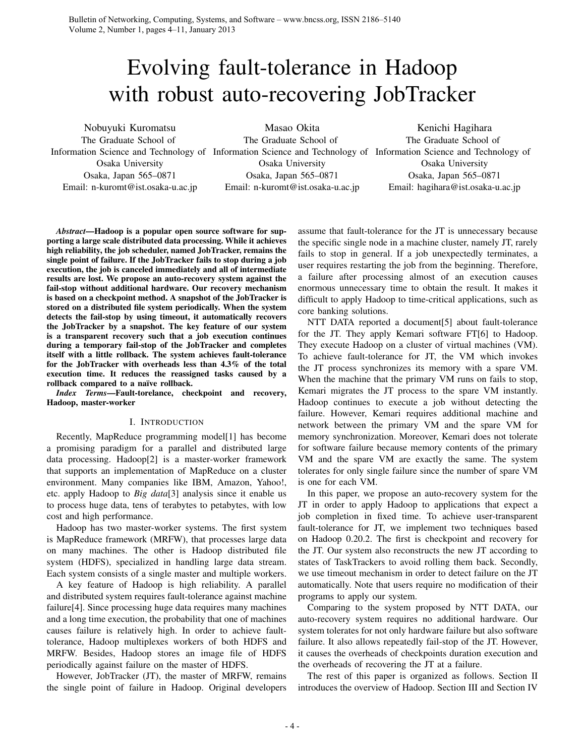# Evolving fault-tolerance in Hadoop with robust auto-recovering JobTracker

Nobuyuki Kuromatsu

The Graduate School of Osaka University Osaka, Japan 565–0871 Email: n-kuromt@ist.osaka-u.ac.jp Masao Okita

Information Science and Technology of Information Science and Technology of Information Science and Technology of The Graduate School of Osaka University Osaka, Japan 565–0871 Email: n-kuromt@ist.osaka-u.ac.jp

Kenichi Hagihara The Graduate School of Osaka University Osaka, Japan 565–0871 Email: hagihara@ist.osaka-u.ac.jp

*Abstract*—Hadoop is a popular open source software for supporting a large scale distributed data processing. While it achieves high reliability, the job scheduler, named JobTracker, remains the single point of failure. If the JobTracker fails to stop during a job execution, the job is canceled immediately and all of intermediate results are lost. We propose an auto-recovery system against the fail-stop without additional hardware. Our recovery mechanism is based on a checkpoint method. A snapshot of the JobTracker is stored on a distributed file system periodically. When the system detects the fail-stop by using timeout, it automatically recovers the JobTracker by a snapshot. The key feature of our system is a transparent recovery such that a job execution continues during a temporary fail-stop of the JobTracker and completes itself with a little rollback. The system achieves fault-tolerance for the JobTracker with overheads less than 4.3% of the total execution time. It reduces the reassigned tasks caused by a rollback compared to a naïve rollback.

*Index Terms*—Fault-torelance, checkpoint and recovery, Hadoop, master-worker

# I. INTRODUCTION

Recently, MapReduce programming model[1] has become a promising paradigm for a parallel and distributed large data processing. Hadoop[2] is a master-worker framework that supports an implementation of MapReduce on a cluster environment. Many companies like IBM, Amazon, Yahoo!, etc. apply Hadoop to *Big data*[3] analysis since it enable us to process huge data, tens of terabytes to petabytes, with low cost and high performance.

Hadoop has two master-worker systems. The first system is MapReduce framework (MRFW), that processes large data on many machines. The other is Hadoop distributed file system (HDFS), specialized in handling large data stream. Each system consists of a single master and multiple workers.

A key feature of Hadoop is high reliability. A parallel and distributed system requires fault-tolerance against machine failure[4]. Since processing huge data requires many machines and a long time execution, the probability that one of machines causes failure is relatively high. In order to achieve faulttolerance, Hadoop multiplexes workers of both HDFS and MRFW. Besides, Hadoop stores an image file of HDFS periodically against failure on the master of HDFS.

However, JobTracker (JT), the master of MRFW, remains the single point of failure in Hadoop. Original developers assume that fault-tolerance for the JT is unnecessary because the specific single node in a machine cluster, namely JT, rarely fails to stop in general. If a job unexpectedly terminates, a user requires restarting the job from the beginning. Therefore, a failure after processing almost of an execution causes enormous unnecessary time to obtain the result. It makes it difficult to apply Hadoop to time-critical applications, such as core banking solutions.

NTT DATA reported a document[5] about fault-tolerance for the JT. They apply Kemari software FT[6] to Hadoop. They execute Hadoop on a cluster of virtual machines (VM). To achieve fault-tolerance for JT, the VM which invokes the JT process synchronizes its memory with a spare VM. When the machine that the primary VM runs on fails to stop, Kemari migrates the JT process to the spare VM instantly. Hadoop continues to execute a job without detecting the failure. However, Kemari requires additional machine and network between the primary VM and the spare VM for memory synchronization. Moreover, Kemari does not tolerate for software failure because memory contents of the primary VM and the spare VM are exactly the same. The system tolerates for only single failure since the number of spare VM is one for each VM.

In this paper, we propose an auto-recovery system for the JT in order to apply Hadoop to applications that expect a job completion in fixed time. To achieve user-transparent fault-tolerance for JT, we implement two techniques based on Hadoop 0.20.2. The first is checkpoint and recovery for the JT. Our system also reconstructs the new JT according to states of TaskTrackers to avoid rolling them back. Secondly, we use timeout mechanism in order to detect failure on the JT automatically. Note that users require no modification of their programs to apply our system.

Comparing to the system proposed by NTT DATA, our auto-recovery system requires no additional hardware. Our system tolerates for not only hardware failure but also software failure. It also allows repeatedly fail-stop of the JT. However, it causes the overheads of checkpoints duration execution and the overheads of recovering the JT at a failure.

The rest of this paper is organized as follows. Section II introduces the overview of Hadoop. Section III and Section IV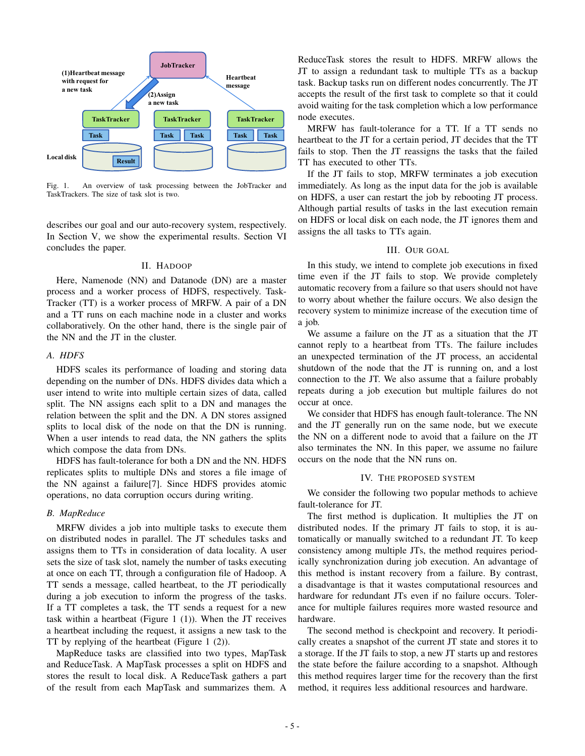

Fig. 1. An overview of task processing between the JobTracker and TaskTrackers. The size of task slot is two.

describes our goal and our auto-recovery system, respectively. In Section V, we show the experimental results. Section VI concludes the paper.

# II. HADOOP

Here, Namenode (NN) and Datanode (DN) are a master process and a worker process of HDFS, respectively. Task-Tracker (TT) is a worker process of MRFW. A pair of a DN and a TT runs on each machine node in a cluster and works collaboratively. On the other hand, there is the single pair of the NN and the JT in the cluster.

## *A. HDFS*

HDFS scales its performance of loading and storing data depending on the number of DNs. HDFS divides data which a user intend to write into multiple certain sizes of data, called split. The NN assigns each split to a DN and manages the relation between the split and the DN. A DN stores assigned splits to local disk of the node on that the DN is running. When a user intends to read data, the NN gathers the splits which compose the data from DNs.

HDFS has fault-tolerance for both a DN and the NN. HDFS replicates splits to multiple DNs and stores a file image of the NN against a failure[7]. Since HDFS provides atomic operations, no data corruption occurs during writing.

# *B. MapReduce*

MRFW divides a job into multiple tasks to execute them on distributed nodes in parallel. The JT schedules tasks and assigns them to TTs in consideration of data locality. A user sets the size of task slot, namely the number of tasks executing at once on each TT, through a configuration file of Hadoop. A TT sends a message, called heartbeat, to the JT periodically during a job execution to inform the progress of the tasks. If a TT completes a task, the TT sends a request for a new task within a heartbeat (Figure 1  $(1)$ ). When the JT receives a heartbeat including the request, it assigns a new task to the TT by replying of the heartbeat (Figure 1 (2)).

MapReduce tasks are classified into two types, MapTask and ReduceTask. A MapTask processes a split on HDFS and stores the result to local disk. A ReduceTask gathers a part of the result from each MapTask and summarizes them. A

ReduceTask stores the result to HDFS. MRFW allows the JT to assign a redundant task to multiple TTs as a backup task. Backup tasks run on different nodes concurrently. The JT accepts the result of the first task to complete so that it could avoid waiting for the task completion which a low performance node executes.

MRFW has fault-tolerance for a TT. If a TT sends no heartbeat to the JT for a certain period, JT decides that the TT fails to stop. Then the JT reassigns the tasks that the failed TT has executed to other TTs.

If the JT fails to stop, MRFW terminates a job execution immediately. As long as the input data for the job is available on HDFS, a user can restart the job by rebooting JT process. Although partial results of tasks in the last execution remain on HDFS or local disk on each node, the JT ignores them and assigns the all tasks to TTs again.

# III. OUR GOAL

In this study, we intend to complete job executions in fixed time even if the JT fails to stop. We provide completely automatic recovery from a failure so that users should not have to worry about whether the failure occurs. We also design the recovery system to minimize increase of the execution time of a job.

We assume a failure on the JT as a situation that the JT cannot reply to a heartbeat from TTs. The failure includes an unexpected termination of the JT process, an accidental shutdown of the node that the JT is running on, and a lost connection to the JT. We also assume that a failure probably repeats during a job execution but multiple failures do not occur at once.

We consider that HDFS has enough fault-tolerance. The NN and the JT generally run on the same node, but we execute the NN on a different node to avoid that a failure on the JT also terminates the NN. In this paper, we assume no failure occurs on the node that the NN runs on.

# IV. THE PROPOSED SYSTEM

We consider the following two popular methods to achieve fault-tolerance for JT.

The first method is duplication. It multiplies the JT on distributed nodes. If the primary JT fails to stop, it is automatically or manually switched to a redundant JT. To keep consistency among multiple JTs, the method requires periodically synchronization during job execution. An advantage of this method is instant recovery from a failure. By contrast, a disadvantage is that it wastes computational resources and hardware for redundant JTs even if no failure occurs. Tolerance for multiple failures requires more wasted resource and hardware.

The second method is checkpoint and recovery. It periodically creates a snapshot of the current JT state and stores it to a storage. If the JT fails to stop, a new JT starts up and restores the state before the failure according to a snapshot. Although this method requires larger time for the recovery than the first method, it requires less additional resources and hardware.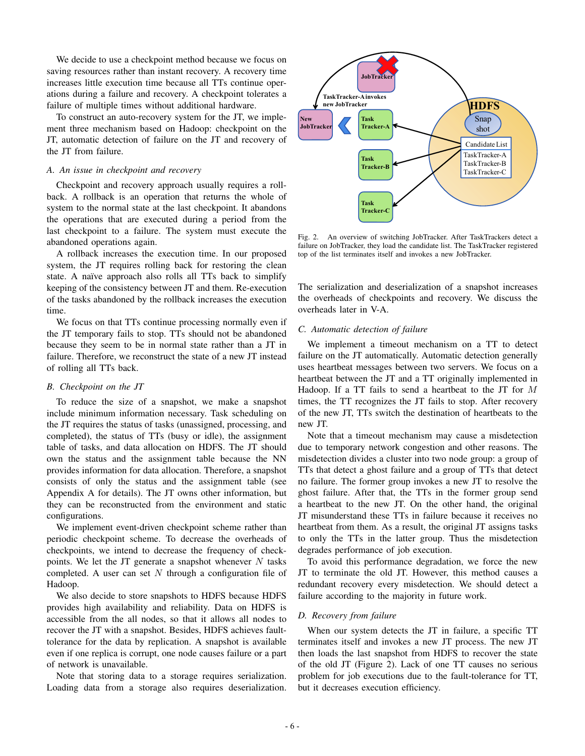We decide to use a checkpoint method because we focus on saving resources rather than instant recovery. A recovery time increases little execution time because all TTs continue operations during a failure and recovery. A checkpoint tolerates a failure of multiple times without additional hardware.

To construct an auto-recovery system for the JT, we implement three mechanism based on Hadoop: checkpoint on the JT, automatic detection of failure on the JT and recovery of the JT from failure.

## *A. An issue in checkpoint and recovery*

Checkpoint and recovery approach usually requires a rollback. A rollback is an operation that returns the whole of system to the normal state at the last checkpoint. It abandons the operations that are executed during a period from the last checkpoint to a failure. The system must execute the abandoned operations again.

A rollback increases the execution time. In our proposed system, the JT requires rolling back for restoring the clean state. A naïve approach also rolls all TTs back to simplify keeping of the consistency between JT and them. Re-execution of the tasks abandoned by the rollback increases the execution time.

We focus on that TTs continue processing normally even if the JT temporary fails to stop. TTs should not be abandoned because they seem to be in normal state rather than a JT in failure. Therefore, we reconstruct the state of a new JT instead of rolling all TTs back.

# *B. Checkpoint on the JT*

To reduce the size of a snapshot, we make a snapshot include minimum information necessary. Task scheduling on the JT requires the status of tasks (unassigned, processing, and completed), the status of TTs (busy or idle), the assignment table of tasks, and data allocation on HDFS. The JT should own the status and the assignment table because the NN provides information for data allocation. Therefore, a snapshot consists of only the status and the assignment table (see Appendix A for details). The JT owns other information, but they can be reconstructed from the environment and static configurations.

We implement event-driven checkpoint scheme rather than periodic checkpoint scheme. To decrease the overheads of checkpoints, we intend to decrease the frequency of checkpoints. We let the JT generate a snapshot whenever *N* tasks completed. A user can set *N* through a configuration file of Hadoop.

We also decide to store snapshots to HDFS because HDFS provides high availability and reliability. Data on HDFS is accessible from the all nodes, so that it allows all nodes to recover the JT with a snapshot. Besides, HDFS achieves faulttolerance for the data by replication. A snapshot is available even if one replica is corrupt, one node causes failure or a part of network is unavailable.

Note that storing data to a storage requires serialization. Loading data from a storage also requires deserialization.



Fig. 2. An overview of switching JobTracker. After TaskTrackers detect a failure on JobTracker, they load the candidate list. The TaskTracker registered top of the list terminates itself and invokes a new JobTracker.

The serialization and deserialization of a snapshot increases the overheads of checkpoints and recovery. We discuss the overheads later in V-A.

# *C. Automatic detection of failure*

We implement a timeout mechanism on a TT to detect failure on the JT automatically. Automatic detection generally uses heartbeat messages between two servers. We focus on a heartbeat between the JT and a TT originally implemented in Hadoop. If a TT fails to send a heartbeat to the JT for *M* times, the TT recognizes the JT fails to stop. After recovery of the new JT, TTs switch the destination of heartbeats to the new JT.

Note that a timeout mechanism may cause a misdetection due to temporary network congestion and other reasons. The misdetection divides a cluster into two node group: a group of TTs that detect a ghost failure and a group of TTs that detect no failure. The former group invokes a new JT to resolve the ghost failure. After that, the TTs in the former group send a heartbeat to the new JT. On the other hand, the original JT misunderstand these TTs in failure because it receives no heartbeat from them. As a result, the original JT assigns tasks to only the TTs in the latter group. Thus the misdetection degrades performance of job execution.

To avoid this performance degradation, we force the new JT to terminate the old JT. However, this method causes a redundant recovery every misdetection. We should detect a failure according to the majority in future work.

## *D. Recovery from failure*

When our system detects the JT in failure, a specific TT terminates itself and invokes a new JT process. The new JT then loads the last snapshot from HDFS to recover the state of the old JT (Figure 2). Lack of one TT causes no serious problem for job executions due to the fault-tolerance for TT, but it decreases execution efficiency.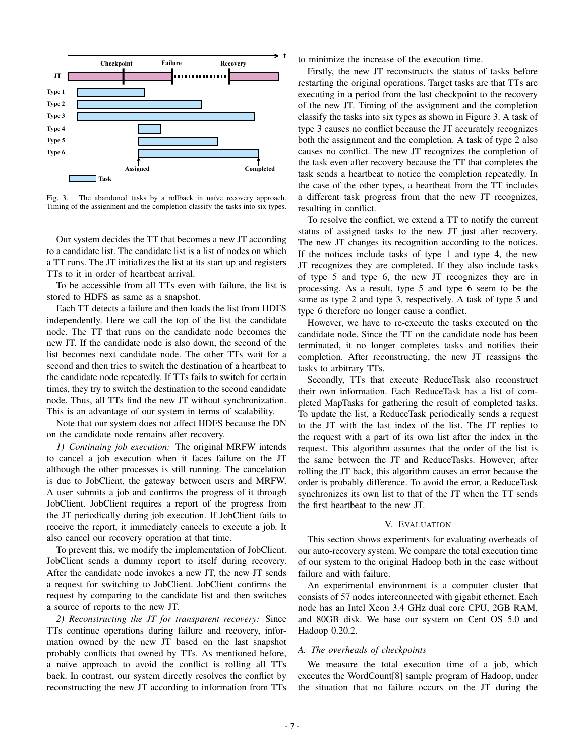

Fig. 3. The abandoned tasks by a rollback in naïve recovery approach. Timing of the assignment and the completion classify the tasks into six types.

Our system decides the TT that becomes a new JT according to a candidate list. The candidate list is a list of nodes on which a TT runs. The JT initializes the list at its start up and registers TTs to it in order of heartbeat arrival.

To be accessible from all TTs even with failure, the list is stored to HDFS as same as a snapshot.

Each TT detects a failure and then loads the list from HDFS independently. Here we call the top of the list the candidate node. The TT that runs on the candidate node becomes the new JT. If the candidate node is also down, the second of the list becomes next candidate node. The other TTs wait for a second and then tries to switch the destination of a heartbeat to the candidate node repeatedly. If TTs fails to switch for certain times, they try to switch the destination to the second candidate node. Thus, all TTs find the new JT without synchronization. This is an advantage of our system in terms of scalability.

Note that our system does not affect HDFS because the DN on the candidate node remains after recovery.

*1) Continuing job execution:* The original MRFW intends to cancel a job execution when it faces failure on the JT although the other processes is still running. The cancelation is due to JobClient, the gateway between users and MRFW. A user submits a job and confirms the progress of it through JobClient. JobClient requires a report of the progress from the JT periodically during job execution. If JobClient fails to receive the report, it immediately cancels to execute a job. It also cancel our recovery operation at that time.

To prevent this, we modify the implementation of JobClient. JobClient sends a dummy report to itself during recovery. After the candidate node invokes a new JT, the new JT sends a request for switching to JobClient. JobClient confirms the request by comparing to the candidate list and then switches a source of reports to the new JT.

*2) Reconstructing the JT for transparent recovery:* Since TTs continue operations during failure and recovery, information owned by the new JT based on the last snapshot probably conflicts that owned by TTs. As mentioned before, a naïve approach to avoid the conflict is rolling all TTs back. In contrast, our system directly resolves the conflict by reconstructing the new JT according to information from TTs to minimize the increase of the execution time.

Firstly, the new JT reconstructs the status of tasks before restarting the original operations. Target tasks are that TTs are executing in a period from the last checkpoint to the recovery of the new JT. Timing of the assignment and the completion classify the tasks into six types as shown in Figure 3. A task of type 3 causes no conflict because the JT accurately recognizes both the assignment and the completion. A task of type 2 also causes no conflict. The new JT recognizes the completion of the task even after recovery because the TT that completes the task sends a heartbeat to notice the completion repeatedly. In the case of the other types, a heartbeat from the TT includes a different task progress from that the new JT recognizes, resulting in conflict.

To resolve the conflict, we extend a TT to notify the current status of assigned tasks to the new JT just after recovery. The new JT changes its recognition according to the notices. If the notices include tasks of type 1 and type 4, the new JT recognizes they are completed. If they also include tasks of type 5 and type 6, the new JT recognizes they are in processing. As a result, type 5 and type 6 seem to be the same as type 2 and type 3, respectively. A task of type 5 and type 6 therefore no longer cause a conflict.

However, we have to re-execute the tasks executed on the candidate node. Since the TT on the candidate node has been terminated, it no longer completes tasks and notifies their completion. After reconstructing, the new JT reassigns the tasks to arbitrary TTs.

Secondly, TTs that execute ReduceTask also reconstruct their own information. Each ReduceTask has a list of completed MapTasks for gathering the result of completed tasks. To update the list, a ReduceTask periodically sends a request to the JT with the last index of the list. The JT replies to the request with a part of its own list after the index in the request. This algorithm assumes that the order of the list is the same between the JT and ReduceTasks. However, after rolling the JT back, this algorithm causes an error because the order is probably difference. To avoid the error, a ReduceTask synchronizes its own list to that of the JT when the TT sends the first heartbeat to the new JT.

## V. EVALUATION

This section shows experiments for evaluating overheads of our auto-recovery system. We compare the total execution time of our system to the original Hadoop both in the case without failure and with failure.

An experimental environment is a computer cluster that consists of 57 nodes interconnected with gigabit ethernet. Each node has an Intel Xeon 3.4 GHz dual core CPU, 2GB RAM, and 80GB disk. We base our system on Cent OS 5.0 and Hadoop 0.20.2.

# *A. The overheads of checkpoints*

We measure the total execution time of a job, which executes the WordCount[8] sample program of Hadoop, under the situation that no failure occurs on the JT during the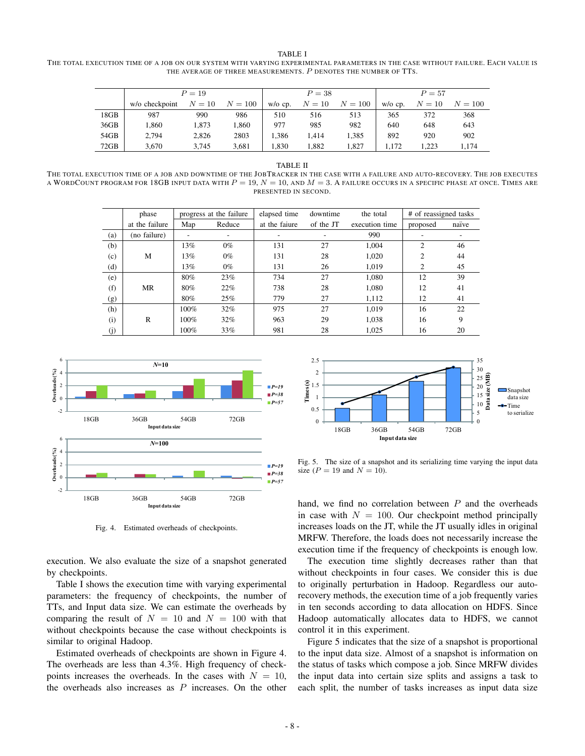TABLE I THE TOTAL EXECUTION TIME OF A JOB ON OUR SYSTEM WITH VARYING EXPERIMENTAL PARAMETERS IN THE CASE WITHOUT FAILURE. EACH VALUE IS THE AVERAGE OF THREE MEASUREMENTS. *P* DENOTES THE NUMBER OF TTS.

|      | $P = 19$       |        |         | $P = 38$      |        |           | $P = 57$      |        |         |
|------|----------------|--------|---------|---------------|--------|-----------|---------------|--------|---------|
|      | w/o checkpoint | $N=10$ | $N=100$ | $w$ / $o$ cp. | $N=10$ | $N = 100$ | $w$ / $o$ cp. | $N=10$ | $N=100$ |
| 18GB | 987            | 990    | 986     | 510           | 516    | 513       | 365           | 372    | 368     |
| 36GB | 1.860          | 1.873  | 1.860   | 977           | 985    | 982       | 640           | 648    | 643     |
| 54GB | 2,794          | 2,826  | 2803    | 1.386         | 1.414  | 1.385     | 892           | 920    | 902     |
| 72GB | 3,670          | 3.745  | 3,681   | 1,830         | 1,882  | 1.827     | 1.172         | 1.223  | 1.174   |

#### TABLE II

THE TOTAL EXECUTION TIME OF A JOB AND DOWNTIME OF THE JOBTRACKER IN THE CASE WITH A FAILURE AND AUTO-RECOVERY. THE JOB EXECUTES A WORDCOUNT PROGRAM FOR 18GB INPUT DATA WITH *P* = 19, *N* = 10, AND *M* = 3. A FAILURE OCCURS IN A SPECIFIC PHASE AT ONCE. TIMES ARE PRESENTED IN SECOND.

|     | phase          | progress at the failure |        | elapsed time  | downtime  | the total      | # of reassigned tasks |       |
|-----|----------------|-------------------------|--------|---------------|-----------|----------------|-----------------------|-------|
|     | at the failure | Map                     | Reduce | at the faiure | of the JT | execution time | proposed              | naïve |
| (a) | (no failure)   | ۰                       | ۰      | ۰.            |           | 990            |                       |       |
| (b) |                | 13%                     | $0\%$  | 131           | 27        | 1.004          | 2                     | 46    |
| (c) | M              | 13%                     | $0\%$  | 131           | 28        | 1.020          | 2                     | 44    |
| (d) |                | 13%                     | $0\%$  | 131           | 26        | 1.019          | 2                     | 45    |
| (e) |                | 80%                     | 23%    | 734           | 27        | 1.080          | 12                    | 39    |
| (f) | MR             | 80%                     | 22%    | 738           | 28        | 1.080          | 12                    | 41    |
| (g) |                | 80%                     | 25%    | 779           | 27        | 1.112          | 12                    | 41    |
| (h) |                | 100%                    | 32%    | 975           | 27        | 1.019          | 16                    | 22    |
| (i) | R              | $100\%$                 | $32\%$ | 963           | 29        | 1,038          | 16                    | 9     |
| (i) |                | 100%                    | 33%    | 981           | 28        | 1.025          | 16                    | 20    |



Fig. 4. Estimated overheads of checkpoints.

execution. We also evaluate the size of a snapshot generated by checkpoints.

Table I shows the execution time with varying experimental parameters: the frequency of checkpoints, the number of TTs, and Input data size. We can estimate the overheads by comparing the result of  $N = 10$  and  $N = 100$  with that without checkpoints because the case without checkpoints is similar to original Hadoop.

Estimated overheads of checkpoints are shown in Figure 4. The overheads are less than 4.3%. High frequency of checkpoints increases the overheads. In the cases with  $N = 10$ , the overheads also increases as *P* increases. On the other



Fig. 5. The size of a snapshot and its serializing time varying the input data size ( $P = 19$  and  $N = 10$ ).

hand, we find no correlation between *P* and the overheads in case with  $N = 100$ . Our checkpoint method principally increases loads on the JT, while the JT usually idles in original MRFW. Therefore, the loads does not necessarily increase the execution time if the frequency of checkpoints is enough low.

The execution time slightly decreases rather than that without checkpoints in four cases. We consider this is due to originally perturbation in Hadoop. Regardless our autorecovery methods, the execution time of a job frequently varies in ten seconds according to data allocation on HDFS. Since Hadoop automatically allocates data to HDFS, we cannot control it in this experiment.

Figure 5 indicates that the size of a snapshot is proportional to the input data size. Almost of a snapshot is information on the status of tasks which compose a job. Since MRFW divides the input data into certain size splits and assigns a task to each split, the number of tasks increases as input data size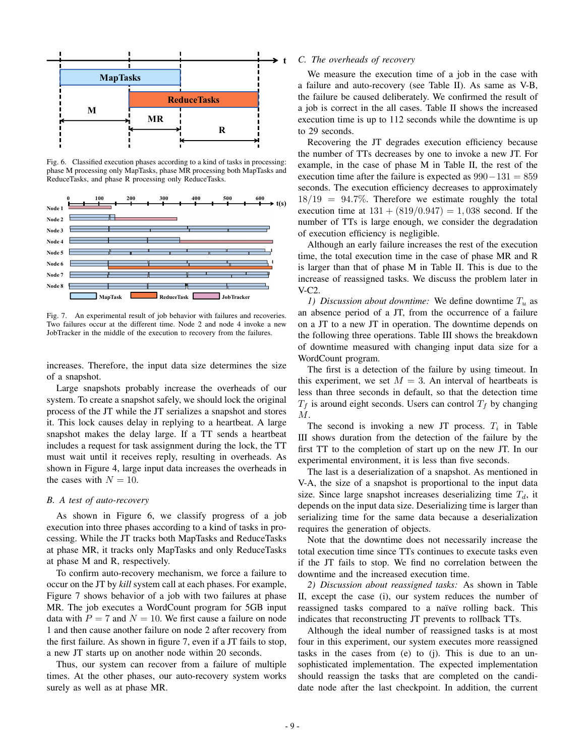

Fig. 6. Classified execution phases according to a kind of tasks in processing: phase M processing only MapTasks, phase MR processing both MapTasks and ReduceTasks, and phase R processing only ReduceTasks.



Fig. 7. An experimental result of job behavior with failures and recoveries. Two failures occur at the different time. Node 2 and node 4 invoke a new JobTracker in the middle of the execution to recovery from the failures.

increases. Therefore, the input data size determines the size of a snapshot.

Large snapshots probably increase the overheads of our system. To create a snapshot safely, we should lock the original process of the JT while the JT serializes a snapshot and stores it. This lock causes delay in replying to a heartbeat. A large snapshot makes the delay large. If a TT sends a heartbeat includes a request for task assignment during the lock, the TT must wait until it receives reply, resulting in overheads. As shown in Figure 4, large input data increases the overheads in the cases with  $N = 10$ .

## *B. A test of auto-recovery*

As shown in Figure 6, we classify progress of a job execution into three phases according to a kind of tasks in processing. While the JT tracks both MapTasks and ReduceTasks at phase MR, it tracks only MapTasks and only ReduceTasks at phase M and R, respectively.

To confirm auto-recovery mechanism, we force a failure to occur on the JT by *kill* system call at each phases. For example, Figure 7 shows behavior of a job with two failures at phase MR. The job executes a WordCount program for 5GB input data with  $P = 7$  and  $N = 10$ . We first cause a failure on node 1 and then cause another failure on node 2 after recovery from the first failure. As shown in figure 7, even if a JT fails to stop, a new JT starts up on another node within 20 seconds.

Thus, our system can recover from a failure of multiple times. At the other phases, our auto-recovery system works surely as well as at phase MR.

## *C. The overheads of recovery*

We measure the execution time of a job in the case with a failure and auto-recovery (see Table II). As same as V-B, the failure be caused deliberately. We confirmed the result of a job is correct in the all cases. Table II shows the increased execution time is up to 112 seconds while the downtime is up to 29 seconds.

Recovering the JT degrades execution efficiency because the number of TTs decreases by one to invoke a new JT. For example, in the case of phase M in Table II, the rest of the execution time after the failure is expected as 990*−*131 = 859 seconds. The execution efficiency decreases to approximately 18*/*19 = 94*.*7%. Therefore we estimate roughly the total execution time at  $131 + (819/0.947) = 1,038$  second. If the number of TTs is large enough, we consider the degradation of execution efficiency is negligible.

Although an early failure increases the rest of the execution time, the total execution time in the case of phase MR and R is larger than that of phase M in Table II. This is due to the increase of reassigned tasks. We discuss the problem later in V-C2.

*1) Discussion about downtime:* We define downtime *T<sup>u</sup>* as an absence period of a JT, from the occurrence of a failure on a JT to a new JT in operation. The downtime depends on the following three operations. Table III shows the breakdown of downtime measured with changing input data size for a WordCount program.

The first is a detection of the failure by using timeout. In this experiment, we set  $M = 3$ . An interval of heartbeats is less than three seconds in default, so that the detection time  $T_f$  is around eight seconds. Users can control  $T_f$  by changing *M*.

The second is invoking a new JT process.  $T_i$  in Table III shows duration from the detection of the failure by the first TT to the completion of start up on the new JT. In our experimental environment, it is less than five seconds.

The last is a deserialization of a snapshot. As mentioned in V-A, the size of a snapshot is proportional to the input data size. Since large snapshot increases deserializing time  $T_d$ , it depends on the input data size. Deserializing time is larger than serializing time for the same data because a deserialization requires the generation of objects.

Note that the downtime does not necessarily increase the total execution time since TTs continues to execute tasks even if the JT fails to stop. We find no correlation between the downtime and the increased execution time.

*2) Discussion about reassigned tasks:* As shown in Table II, except the case (i), our system reduces the number of reassigned tasks compared to a naïve rolling back. This indicates that reconstructing JT prevents to rollback TTs.

Although the ideal number of reassigned tasks is at most four in this experiment, our system executes more reassigned tasks in the cases from (e) to (j). This is due to an unsophisticated implementation. The expected implementation should reassign the tasks that are completed on the candidate node after the last checkpoint. In addition, the current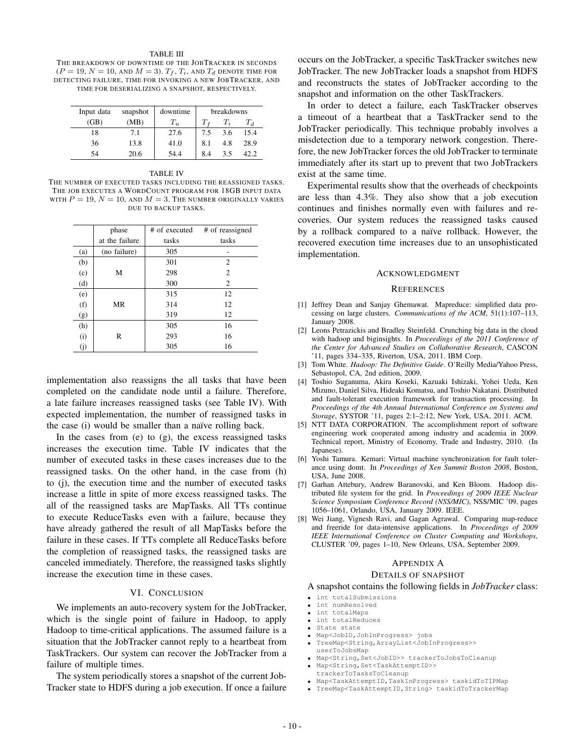#### TABLE III

THE BREAKDOWN OF DOWNTIME OF THE JOBTRACKER IN SECONDS  $(P = 19, N = 10, \text{ and } M = 3)$ .  $T_f$ ,  $T_i$ , and  $T_d$  denote time for DETECTING FAILURE, TIME FOR INVOKING A NEW JOBTRACKER, AND TIME FOR DESERIALIZING A SNAPSHOT, RESPECTIVELY.

| Input data | snapshot | downtime | breakdowns |     |       |
|------------|----------|----------|------------|-----|-------|
| (GB)       | (MB)     | $T_u$    |            |     | $T_d$ |
| 18         | 7.1      | 27.6     | 7.5        | 3.6 | 15.4  |
| 36         | 13.8     | 41.0     | 8.1        | 4.8 | 28.9  |
| 54         | 20.6     | 54.4     | 8.4        | 3.5 | 42.2. |

#### TABLE IV

THE NUMBER OF EXECUTED TASKS INCLUDING THE REASSIGNED TASKS. THE JOB EXECUTES A WORDCOUNT PROGRAM FOR 18GB INPUT DATA WITH  $P = 19$ ,  $N = 10$ , and  $M = 3$ . The number originally varies DUE TO BACKUP TASKS.

|     | phase          | # of executed | # of reassigned |
|-----|----------------|---------------|-----------------|
|     | at the failure | tasks         | tasks           |
| (a) | (no failure)   | 305           |                 |
| (b) |                | 301           | 2               |
| (c) | М              | 298           | $\overline{2}$  |
| (d) |                | 300           | 2               |
| (e) |                | 315           | 12              |
| (f) | MR             | 314           | 12              |
| (g) |                | 319           | 12              |
| (h) |                | 305           | 16              |
| (i) | R              | 293           | 16              |
| (i) |                | 305           | 16              |

implementation also reassigns the all tasks that have been completed on the candidate node until a failure. Therefore, a late failure increases reassigned tasks (see Table IV). With expected implementation, the number of reassigned tasks in the case (i) would be smaller than a naïve rolling back.

In the cases from  $(e)$  to  $(g)$ , the excess reassigned tasks increases the execution time. Table IV indicates that the number of executed tasks in these cases increases due to the reassigned tasks. On the other hand, in the case from (h) to (j), the execution time and the number of executed tasks increase a little in spite of more excess reassigned tasks. The all of the reassigned tasks are MapTasks. All TTs continue to execute ReduceTasks even with a failure, because they have already gathered the result of all MapTasks before the failure in these cases. If TTs complete all ReduceTasks before the completion of reassigned tasks, the reassigned tasks are canceled immediately. Therefore, the reassigned tasks slightly increase the execution time in these cases.

# VI. CONCLUSION

We implements an auto-recovery system for the JobTracker, which is the single point of failure in Hadoop, to apply Hadoop to time-critical applications. The assumed failure is a situation that the JobTracker cannot reply to a heartbeat from TaskTrackers. Our system can recover the JobTracker from a failure of multiple times.

The system periodically stores a snapshot of the current Job-Tracker state to HDFS during a job execution. If once a failure occurs on the JobTracker, a specific TaskTracker switches new JobTracker. The new JobTracker loads a snapshot from HDFS and reconstructs the states of JobTracker according to the snapshot and information on the other TaskTrackers.

In order to detect a failure, each TaskTracker observes a timeout of a heartbeat that a TaskTracker send to the JobTracker periodically. This technique probably involves a misdetection due to a temporary network congestion. Therefore, the new JobTracker forces the old JobTracker to terminate immediately after its start up to prevent that two JobTrackers exist at the same time.

Experimental results show that the overheads of checkpoints are less than 4.3%. They also show that a job execution continues and finishes normally even with failures and recoveries. Our system reduces the reassigned tasks caused by a rollback compared to a naïve rollback. However, the recovered execution time increases due to an unsophisticated implementation.

#### ACKNOWLEDGMENT

#### **REFERENCES**

- [1] Jeffrey Dean and Sanjay Ghemawat. Mapreduce: simplified data processing on large clusters. *Communications of the ACM*, 51(1):107–113, January 2008.
- [2] Leons Petrazickis and Bradley Steinfeld. Crunching big data in the cloud with hadoop and biginsights. In *Proceedings of the 2011 Conference of the Center for Advanced Studies on Collaborative Research*, CASCON '11, pages 334–335, Riverton, USA, 2011. IBM Corp.
- [3] Tom White. *Hadoop: The Definitive Guide*. O'Reilly Media/Yahoo Press, Sebastopol, CA, 2nd edition, 2009.
- [4] Toshio Suganuma, Akira Koseki, Kazuaki Ishizaki, Yohei Ueda, Ken Mizuno, Daniel Silva, Hideaki Komatsu, and Toshio Nakatani. Distributed and fault-tolerant execution framework for transaction processing. In *Proceedings of the 4th Annual International Conference on Systems and Storage*, SYSTOR '11, pages 2:1–2:12, New York, USA, 2011. ACM.
- [5] NTT DATA CORPORATION. The accomplishment report of software engineering work cooperated among industry and academia in 2009. Technical report, Ministry of Economy, Trade and Industry, 2010. (In Japanese).
- [6] Yoshi Tamura. Kemari: Virtual machine synchronization for fault tolerance using domt. In *Proceedings of Xen Summit Boston 2008*, Boston, USA, June 2008.
- [7] Garhan Attebury, Andrew Baranovski, and Ken Bloom. Hadoop distributed file system for the grid. In *Proceedings of 2009 IEEE Nuclear Science Symposium Conference Record (NSS/MIC)*, NSS/MIC '09, pages 1056–1061, Orlando, USA, January 2009. IEEE.
- [8] Wei Jiang, Vignesh Ravi, and Gagan Agrawal. Comparing map-reduce and freeride for data-intensive applications. In *Proceedings of 2009 IEEE International Conference on Cluster Computing and Workshops*, CLUSTER '09, pages 1–10, New Orleans, USA, September 2009.

## APPENDIX A

#### DETAILS OF SNAPSHOT

A snapshot contains the following fields in *JobTracker* class:

- *•* int totalSubmissions
- int numResolved<br>• int totalMaps
- *•* int totalMaps
- *•* int totalReduces
- *•* State state
- *•* Map<JobID,JobInProgress> jobs *•* TreeMap<String,ArrayList<JobInProgress>>
- userToJobsMap
- Map<String, Set<JobID>> trackerToJobsToCleanup • Map<String, Set<TaskAttemptID>>
- trackerToTasksToCleanup
- *•* Map<TaskAttemptID,TaskInProgress> taskidToTIPMap
- *•* TreeMap<TaskAttemptID,String> taskidToTrackerMap